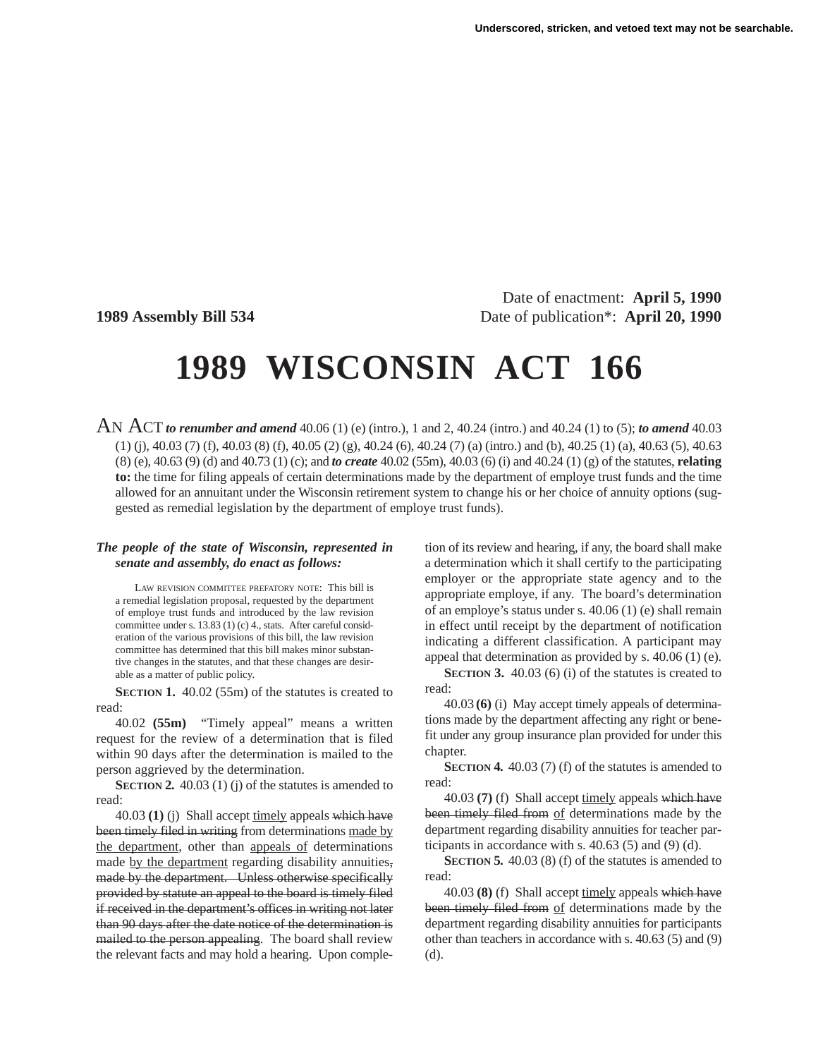Date of enactment: **April 5, 1990 1989 Assembly Bill 534** Date of publication\*: **April 20, 1990**

# **1989 WISCONSIN ACT 166**

AN ACT *to renumber and amend* 40.06 (1) (e) (intro.), 1 and 2, 40.24 (intro.) and 40.24 (1) to (5); *to amend* 40.03 (1) (j), 40.03 (7) (f), 40.03 (8) (f), 40.05 (2) (g), 40.24 (6), 40.24 (7) (a) (intro.) and (b), 40.25 (1) (a), 40.63 (5), 40.63 (8) (e), 40.63 (9) (d) and 40.73 (1) (c); and *to create* 40.02 (55m), 40.03 (6) (i) and 40.24 (1) (g) of the statutes, **relating to:** the time for filing appeals of certain determinations made by the department of employe trust funds and the time allowed for an annuitant under the Wisconsin retirement system to change his or her choice of annuity options (suggested as remedial legislation by the department of employe trust funds).

#### *The people of the state of Wisconsin, represented in senate and assembly, do enact as follows:*

LAW REVISION COMMITTEE PREFATORY NOTE: This bill is a remedial legislation proposal, requested by the department of employe trust funds and introduced by the law revision committee under s. 13.83 (1) (c) 4., stats. After careful consideration of the various provisions of this bill, the law revision committee has determined that this bill makes minor substantive changes in the statutes, and that these changes are desirable as a matter of public policy.

**SECTION 1.** 40.02 (55m) of the statutes is created to read:

40.02 **(55m)** "Timely appeal" means a written request for the review of a determination that is filed within 90 days after the determination is mailed to the person aggrieved by the determination.

**SECTION 2.** 40.03 (1) (j) of the statutes is amended to read:

40.03 (1) (j) Shall accept timely appeals which have been timely filed in writing from determinations made by the department, other than appeals of determinations made by the department regarding disability annuities, made by the department. Unless otherwise specifically provided by statute an appeal to the board is timely filed if received in the department's offices in writing not later than 90 days after the date notice of the determination is mailed to the person appealing. The board shall review the relevant facts and may hold a hearing. Upon completion of its review and hearing, if any, the board shall make a determination which it shall certify to the participating employer or the appropriate state agency and to the appropriate employe, if any. The board's determination of an employe's status under s. 40.06 (1) (e) shall remain in effect until receipt by the department of notification indicating a different classification. A participant may appeal that determination as provided by s. 40.06 (1) (e).

**SECTION 3.** 40.03 (6) (i) of the statutes is created to read:

40.03 **(6)** (i) May accept timely appeals of determinations made by the department affecting any right or benefit under any group insurance plan provided for under this chapter.

**SECTION 4.** 40.03 (7) (f) of the statutes is amended to read:

40.03 **(7)** (f) Shall accept timely appeals which have been timely filed from of determinations made by the department regarding disability annuities for teacher participants in accordance with s. 40.63 (5) and (9) (d).

**SECTION 5.** 40.03 (8) (f) of the statutes is amended to read:

40.03 **(8)** (f) Shall accept timely appeals which have been timely filed from of determinations made by the department regarding disability annuities for participants other than teachers in accordance with s. 40.63 (5) and (9) (d).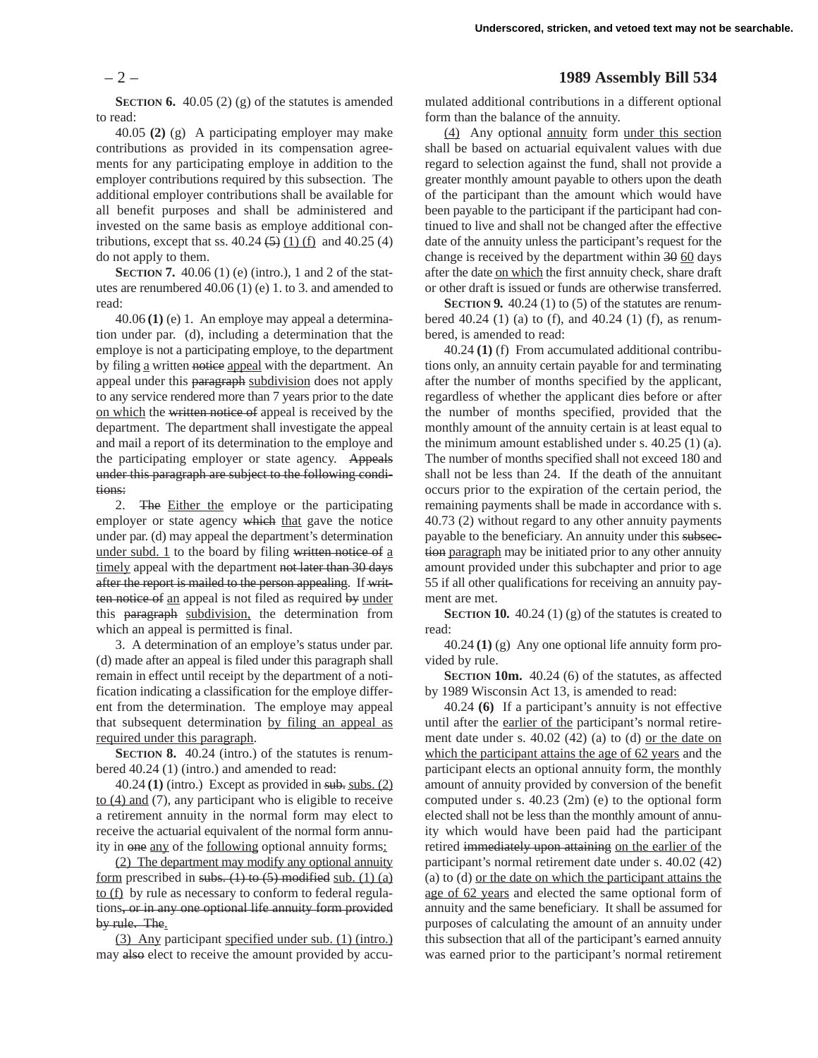**SECTION 6.** 40.05 (2) (g) of the statutes is amended to read:

40.05 **(2)** (g) A participating employer may make contributions as provided in its compensation agreements for any participating employe in addition to the employer contributions required by this subsection. The additional employer contributions shall be available for all benefit purposes and shall be administered and invested on the same basis as employe additional contributions, except that ss.  $40.24 \left( 5 \right) (1) (f)$  and  $40.25 (4)$ do not apply to them.

**SECTION 7.** 40.06 (1) (e) (intro.), 1 and 2 of the statutes are renumbered 40.06 (1) (e) 1. to 3. and amended to read:

40.06 **(1)** (e) 1. An employe may appeal a determination under par. (d), including a determination that the employe is not a participating employe, to the department by filing a written notice appeal with the department. An appeal under this paragraph subdivision does not apply to any service rendered more than 7 years prior to the date on which the written notice of appeal is received by the department. The department shall investigate the appeal and mail a report of its determination to the employe and the participating employer or state agency. Appeals under this paragraph are subject to the following conditions:

2. The Either the employe or the participating employer or state agency which that gave the notice under par. (d) may appeal the department's determination under subd. 1 to the board by filing written notice of a timely appeal with the department not later than 30 days after the report is mailed to the person appealing. If written notice of an appeal is not filed as required by under this paragraph subdivision, the determination from which an appeal is permitted is final.

3. A determination of an employe's status under par. (d) made after an appeal is filed under this paragraph shall remain in effect until receipt by the department of a notification indicating a classification for the employe different from the determination. The employe may appeal that subsequent determination by filing an appeal as required under this paragraph.

**SECTION 8.** 40.24 (intro.) of the statutes is renumbered 40.24 (1) (intro.) and amended to read:

 $40.24$  (1) (intro.) Except as provided in sub. subs.  $(2)$ to (4) and (7), any participant who is eligible to receive a retirement annuity in the normal form may elect to receive the actuarial equivalent of the normal form annuity in one any of the following optional annuity forms:

(2) The department may modify any optional annuity form prescribed in subs.  $(1)$  to  $(5)$  modified sub.  $(1)$  (a) to (f) by rule as necessary to conform to federal regulations, or in any one optional life annuity form provided by rule. The.

(3) Any participant specified under sub. (1) (intro.) may also elect to receive the amount provided by accu-

## – 2 – **1989 Assembly Bill 534**

mulated additional contributions in a different optional form than the balance of the annuity.

(4) Any optional annuity form under this section shall be based on actuarial equivalent values with due regard to selection against the fund, shall not provide a greater monthly amount payable to others upon the death of the participant than the amount which would have been payable to the participant if the participant had continued to live and shall not be changed after the effective date of the annuity unless the participant's request for the change is received by the department within 30 60 days after the date on which the first annuity check, share draft or other draft is issued or funds are otherwise transferred.

**SECTION 9.** 40.24 (1) to (5) of the statutes are renumbered 40.24 (1) (a) to (f), and 40.24 (1) (f), as renumbered, is amended to read:

40.24 **(1)** (f) From accumulated additional contributions only, an annuity certain payable for and terminating after the number of months specified by the applicant, regardless of whether the applicant dies before or after the number of months specified, provided that the monthly amount of the annuity certain is at least equal to the minimum amount established under s. 40.25 (1) (a). The number of months specified shall not exceed 180 and shall not be less than 24. If the death of the annuitant occurs prior to the expiration of the certain period, the remaining payments shall be made in accordance with s. 40.73 (2) without regard to any other annuity payments payable to the beneficiary. An annuity under this subsection paragraph may be initiated prior to any other annuity amount provided under this subchapter and prior to age 55 if all other qualifications for receiving an annuity payment are met.

**SECTION 10.** 40.24 (1) (g) of the statutes is created to read:

40.24 **(1)** (g) Any one optional life annuity form provided by rule.

**SECTION 10m.** 40.24 (6) of the statutes, as affected by 1989 Wisconsin Act 13, is amended to read:

40.24 **(6)** If a participant's annuity is not effective until after the earlier of the participant's normal retirement date under s. 40.02 (42) (a) to (d) or the date on which the participant attains the age of 62 years and the participant elects an optional annuity form, the monthly amount of annuity provided by conversion of the benefit computed under s. 40.23 (2m) (e) to the optional form elected shall not be less than the monthly amount of annuity which would have been paid had the participant retired immediately upon attaining on the earlier of the participant's normal retirement date under s. 40.02 (42) (a) to (d) or the date on which the participant attains the age of 62 years and elected the same optional form of annuity and the same beneficiary. It shall be assumed for purposes of calculating the amount of an annuity under this subsection that all of the participant's earned annuity was earned prior to the participant's normal retirement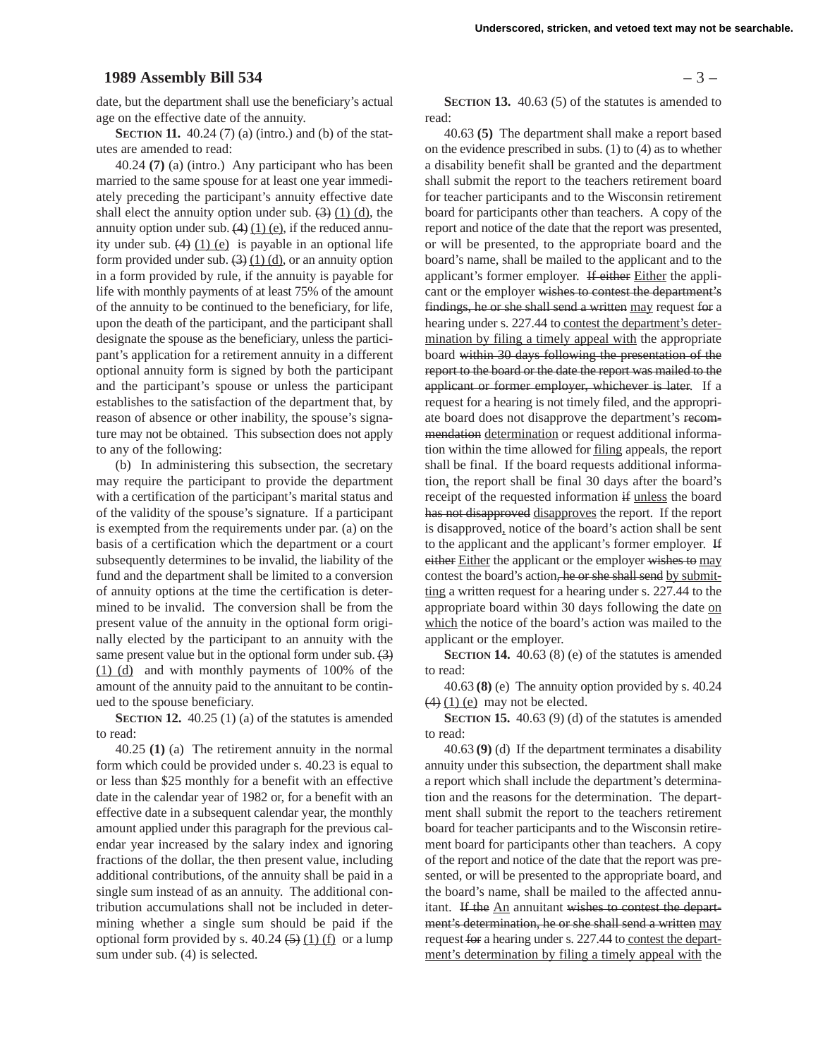### **1989 Assembly Bill 534** – 3 –

date, but the department shall use the beneficiary's actual age on the effective date of the annuity.

**SECTION 11.** 40.24 (7) (a) (intro.) and (b) of the statutes are amended to read:

40.24 **(7)** (a) (intro.) Any participant who has been married to the same spouse for at least one year immediately preceding the participant's annuity effective date shall elect the annuity option under sub.  $(3)$   $(1)$   $(d)$ , the annuity option under sub.  $(4)$   $(1)$   $(e)$ , if the reduced annuity under sub.  $(4)$  (1) (e) is payable in an optional life form provided under sub.  $(3)(1)(d)$ , or an annuity option in a form provided by rule, if the annuity is payable for life with monthly payments of at least 75% of the amount of the annuity to be continued to the beneficiary, for life, upon the death of the participant, and the participant shall designate the spouse as the beneficiary, unless the participant's application for a retirement annuity in a different optional annuity form is signed by both the participant and the participant's spouse or unless the participant establishes to the satisfaction of the department that, by reason of absence or other inability, the spouse's signature may not be obtained. This subsection does not apply to any of the following:

(b) In administering this subsection, the secretary may require the participant to provide the department with a certification of the participant's marital status and of the validity of the spouse's signature. If a participant is exempted from the requirements under par. (a) on the basis of a certification which the department or a court subsequently determines to be invalid, the liability of the fund and the department shall be limited to a conversion of annuity options at the time the certification is determined to be invalid. The conversion shall be from the present value of the annuity in the optional form originally elected by the participant to an annuity with the same present value but in the optional form under sub. (3) (1) (d) and with monthly payments of 100% of the amount of the annuity paid to the annuitant to be continued to the spouse beneficiary.

**SECTION 12.** 40.25 (1) (a) of the statutes is amended to read:

40.25 **(1)** (a) The retirement annuity in the normal form which could be provided under s. 40.23 is equal to or less than \$25 monthly for a benefit with an effective date in the calendar year of 1982 or, for a benefit with an effective date in a subsequent calendar year, the monthly amount applied under this paragraph for the previous calendar year increased by the salary index and ignoring fractions of the dollar, the then present value, including additional contributions, of the annuity shall be paid in a single sum instead of as an annuity. The additional contribution accumulations shall not be included in determining whether a single sum should be paid if the optional form provided by s.  $40.24 \left( \frac{5}{2} \right) (1)$  (f) or a lump sum under sub. (4) is selected.

**SECTION 13.** 40.63 (5) of the statutes is amended to read:

40.63 **(5)** The department shall make a report based on the evidence prescribed in subs. (1) to (4) as to whether a disability benefit shall be granted and the department shall submit the report to the teachers retirement board for teacher participants and to the Wisconsin retirement board for participants other than teachers. A copy of the report and notice of the date that the report was presented, or will be presented, to the appropriate board and the board's name, shall be mailed to the applicant and to the applicant's former employer. If either Either the applicant or the employer wishes to contest the department's findings, he or she shall send a written may request for a hearing under s. 227.44 to contest the department's determination by filing a timely appeal with the appropriate board within 30 days following the presentation of the report to the board or the date the report was mailed to the applicant or former employer, whichever is later. If a request for a hearing is not timely filed, and the appropriate board does not disapprove the department's recommendation determination or request additional information within the time allowed for filing appeals, the report shall be final. If the board requests additional information, the report shall be final 30 days after the board's receipt of the requested information if unless the board has not disapproved disapproves the report. If the report is disapproved, notice of the board's action shall be sent to the applicant and the applicant's former employer. If either Either the applicant or the employer wishes to may contest the board's action, he or she shall send by submitting a written request for a hearing under s. 227.44 to the appropriate board within 30 days following the date on which the notice of the board's action was mailed to the applicant or the employer.

**SECTION 14.** 40.63 (8) (e) of the statutes is amended to read:

40.63 **(8)** (e) The annuity option provided by s. 40.24  $(4)$  (1) (e) may not be elected.

**SECTION 15.** 40.63 (9) (d) of the statutes is amended to read:

40.63 **(9)** (d) If the department terminates a disability annuity under this subsection, the department shall make a report which shall include the department's determination and the reasons for the determination. The department shall submit the report to the teachers retirement board for teacher participants and to the Wisconsin retirement board for participants other than teachers. A copy of the report and notice of the date that the report was presented, or will be presented to the appropriate board, and the board's name, shall be mailed to the affected annuitant. If the An annuitant wishes to contest the department's determination, he or she shall send a written may request for a hearing under s. 227.44 to contest the department's determination by filing a timely appeal with the